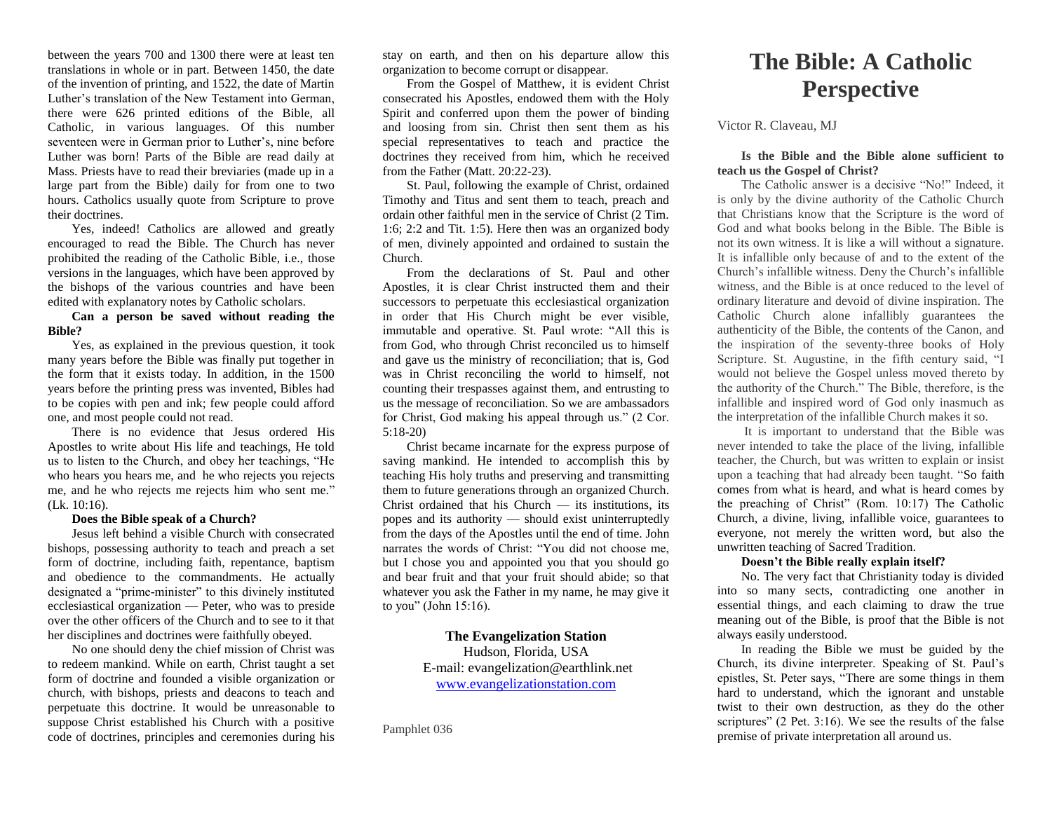between the years 700 and 1300 there were at least ten translations in whole or in part. Between 1450, the date of the invention of printing, and 1522, the date of Martin Luther's translation of the New Testament into German, there were 626 printed editions of the Bible, all Catholic, in various languages. Of this number seventeen were in German prior to Luther's, nine before Luther was born! Parts of the Bible are read daily at Mass. Priests have to read their breviaries (made up in a large part from the Bible) daily for from one to two hours. Catholics usually quote from Scripture to prove their doctrines.

Yes, indeed! Catholics are allowed and greatly encouraged to read the Bible. The Church has never prohibited the reading of the Catholic Bible, i.e., those versions in the languages, which have been approved by the bishops of the various countries and have been edited with explanatory notes by Catholic scholars.

**Can a person be saved without reading the Bible?**

Yes, as explained in the previous question, it took many years before the Bible was finally put together in the form that it exists today. In addition, in the 1500 years before the printing press was invented, Bibles had to be copies with pen and ink; few people could afford one, and most people could not read.

There is no evidence that Jesus ordered His Apostles to write about His life and teachings, He told us to listen to the Church, and obey her teachings, "He who hears you hears me, and he who rejects you rejects me, and he who rejects me rejects him who sent me." (Lk. 10:16).

#### **Does the Bible speak of a Church?**

Jesus left behind a visible Church with consecrated bishops, possessing authority to teach and preach a set form of doctrine, including faith, repentance, baptism and obedience to the commandments. He actually designated a "prime-minister" to this divinely instituted ecclesiastical organization — Peter, who was to preside over the other officers of the Church and to see to it that her disciplines and doctrines were faithfully obeyed.

No one should deny the chief mission of Christ was to redeem mankind. While on earth, Christ taught a set form of doctrine and founded a visible organization or church, with bishops, priests and deacons to teach and perpetuate this doctrine. It would be unreasonable to suppose Christ established his Church with a positive code of doctrines, principles and ceremonies during his stay on earth, and then on his departure allow this organization to become corrupt or disappear.

From the Gospel of Matthew, it is evident Christ consecrated his Apostles, endowed them with the Holy Spirit and conferred upon them the power of binding and loosing from sin. Christ then sent them as his special representatives to teach and practice the doctrines they received from him, which he received from the Father (Matt. 20:22-23).

St. Paul, following the example of Christ, ordained Timothy and Titus and sent them to teach, preach and ordain other faithful men in the service of Christ (2 Tim. 1:6; 2:2 and Tit. 1:5). Here then was an organized body of men, divinely appointed and ordained to sustain the Church.

From the declarations of St. Paul and other Apostles, it is clear Christ instructed them and their successors to perpetuate this ecclesiastical organization in order that His Church might be ever visible, immutable and operative. St. Paul wrote: "All this is from God, who through Christ reconciled us to himself and gave us the ministry of reconciliation; that is, God was in Christ reconciling the world to himself, not counting their trespasses against them, and entrusting to us the message of reconciliation. So we are ambassadors for Christ, God making his appeal through us." (2 Cor. 5:18-20)

Christ became incarnate for the express purpose of saving mankind. He intended to accomplish this by teaching His holy truths and preserving and transmitting them to future generations through an organized Church. Christ ordained that his Church — its institutions, its popes and its authority — should exist uninterruptedly from the days of the Apostles until the end of time. John narrates the words of Christ: "You did not choose me, but I chose you and appointed you that you should go and bear fruit and that your fruit should abide; so that whatever you ask the Father in my name, he may give it to you" (John 15:16).

## **The Evangelization Station**

Hudson, Florida, USA E-mail: evangelization@earthlink.net [www.evangelizationstation.com](http://www.pjpiisoe.org/)

Pamphlet 036

# **The Bible: A Catholic Perspective**

Victor R. Claveau, MJ

#### **Is the Bible and the Bible alone sufficient to teach us the Gospel of Christ?**

The Catholic answer is a decisive "No!" Indeed, it is only by the divine authority of the Catholic Church that Christians know that the Scripture is the word of God and what books belong in the Bible. The Bible is not its own witness. It is like a will without a signature. It is infallible only because of and to the extent of the Church's infallible witness. Deny the Church's infallible witness, and the Bible is at once reduced to the level of ordinary literature and devoid of divine inspiration. The Catholic Church alone infallibly guarantees the authenticity of the Bible, the contents of the Canon, and the inspiration of the seventy-three books of Holy Scripture. St. Augustine, in the fifth century said, "I would not believe the Gospel unless moved thereto by the authority of the Church." The Bible, therefore, is the infallible and inspired word of God only inasmuch as the interpretation of the infallible Church makes it so.

It is important to understand that the Bible was never intended to take the place of the living, infallible teacher, the Church, but was written to explain or insist upon a teaching that had already been taught. "So faith comes from what is heard, and what is heard comes by the preaching of Christ" (Rom. 10:17) The Catholic Church, a divine, living, infallible voice, guarantees to everyone, not merely the written word, but also the unwritten teaching of Sacred Tradition.

#### **Doesn't the Bible really explain itself?**

No. The very fact that Christianity today is divided into so many sects, contradicting one another in essential things, and each claiming to draw the true meaning out of the Bible, is proof that the Bible is not always easily understood.

In reading the Bible we must be guided by the Church, its divine interpreter. Speaking of St. Paul's epistles, St. Peter says, "There are some things in them hard to understand, which the ignorant and unstable twist to their own destruction, as they do the other scriptures" (2 Pet. 3:16). We see the results of the false premise of private interpretation all around us.